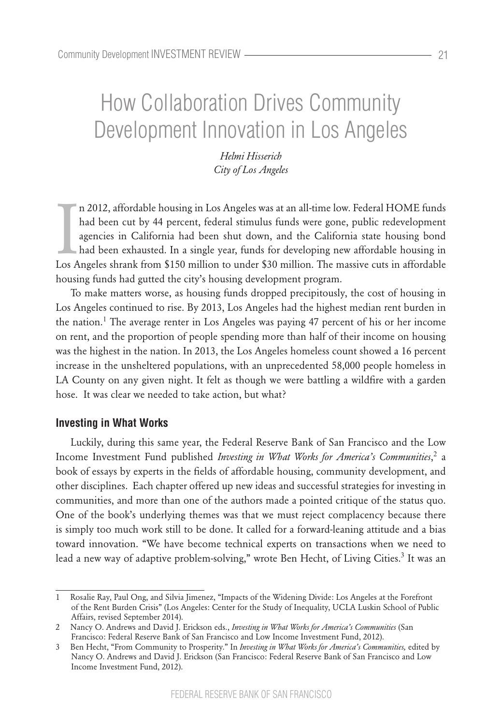# How Collaboration Drives Community Development Innovation in Los Angeles

*Helmi Hisserich City of Los Angeles*

n 2012, affordable housing in Los Angeles was at an all-time low. Federal HOME funds<br>had been cut by 44 percent, federal stimulus funds were gone, public redevelopment<br>agencies in California had been shut down, and the Cal n 2012, affordable housing in Los Angeles was at an all-time low. Federal HOME funds had been cut by 44 percent, federal stimulus funds were gone, public redevelopment agencies in California had been shut down, and the California state housing bond had been exhausted. In a single year, funds for developing new affordable housing in housing funds had gutted the city's housing development program.

To make matters worse, as housing funds dropped precipitously, the cost of housing in Los Angeles continued to rise. By 2013, Los Angeles had the highest median rent burden in the nation.<sup>1</sup> The average renter in Los Angeles was paying 47 percent of his or her income on rent, and the proportion of people spending more than half of their income on housing was the highest in the nation. In 2013, the Los Angeles homeless count showed a 16 percent increase in the unsheltered populations, with an unprecedented 58,000 people homeless in LA County on any given night. It felt as though we were battling a wildfire with a garden hose. It was clear we needed to take action, but what?

#### **Investing in What Works**

Luckily, during this same year, the Federal Reserve Bank of San Francisco and the Low Income Investment Fund published *Investing in What Works for America's Communities*,<sup>2</sup> a book of essays by experts in the fields of affordable housing, community development, and other disciplines. Each chapter offered up new ideas and successful strategies for investing in communities, and more than one of the authors made a pointed critique of the status quo. One of the book's underlying themes was that we must reject complacency because there is simply too much work still to be done. It called for a forward-leaning attitude and a bias toward innovation. "We have become technical experts on transactions when we need to lead a new way of adaptive problem-solving," wrote Ben Hecht, of Living Cities.<sup>3</sup> It was an

<sup>1</sup> Rosalie Ray, Paul Ong, and Silvia Jimenez, "Impacts of the Widening Divide: Los Angeles at the Forefront of the Rent Burden Crisis" (Los Angeles: Center for the Study of Inequality, UCLA Luskin School of Public Affairs, revised September 2014).

<sup>2</sup> Nancy O. Andrews and David J. Erickson eds., *Investing in What Works for America's Communities* (San Francisco: Federal Reserve Bank of San Francisco and Low Income Investment Fund, 2012).

<sup>3</sup> Ben Hecht, "From Community to Prosperity." In *Investing in What Works for America's Communities,* edited by Nancy O. Andrews and David J. Erickson (San Francisco: Federal Reserve Bank of San Francisco and Low Income Investment Fund, 2012).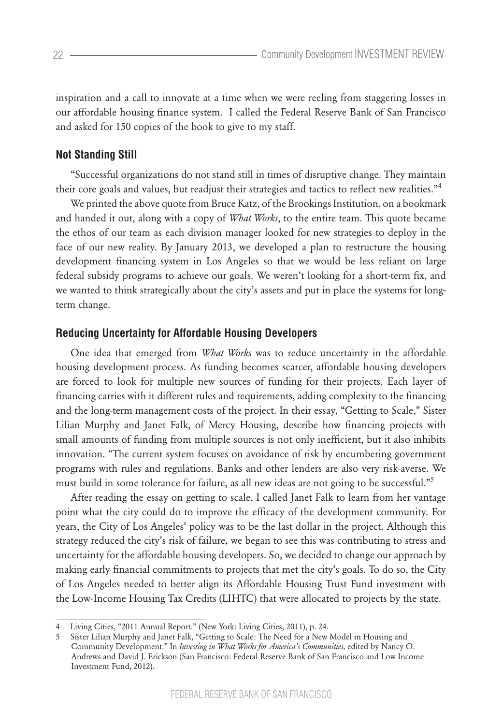inspiration and a call to innovate at a time when we were reeling from staggering losses in our affordable housing finance system. I called the Federal Reserve Bank of San Francisco and asked for 150 copies of the book to give to my staff.

## **Not Standing Still**

"Successful organizations do not stand still in times of disruptive change. They maintain their core goals and values, but readjust their strategies and tactics to reflect new realities."<sup>4</sup>

We printed the above quote from Bruce Katz, of the Brookings Institution, on a bookmark and handed it out, along with a copy of *What Works*, to the entire team. This quote became the ethos of our team as each division manager looked for new strategies to deploy in the face of our new reality. By January 2013, we developed a plan to restructure the housing development financing system in Los Angeles so that we would be less reliant on large federal subsidy programs to achieve our goals. We weren't looking for a short-term fix, and we wanted to think strategically about the city's assets and put in place the systems for longterm change.

### **Reducing Uncertainty for Affordable Housing Developers**

One idea that emerged from *What Works* was to reduce uncertainty in the affordable housing development process. As funding becomes scarcer, affordable housing developers are forced to look for multiple new sources of funding for their projects. Each layer of financing carries with it different rules and requirements, adding complexity to the financing and the long-term management costs of the project. In their essay, "Getting to Scale," Sister Lilian Murphy and Janet Falk, of Mercy Housing, describe how financing projects with small amounts of funding from multiple sources is not only inefficient, but it also inhibits innovation. "The current system focuses on avoidance of risk by encumbering government programs with rules and regulations. Banks and other lenders are also very risk-averse. We must build in some tolerance for failure, as all new ideas are not going to be successful."<sup>5</sup>

After reading the essay on getting to scale, I called Janet Falk to learn from her vantage point what the city could do to improve the efficacy of the development community. For years, the City of Los Angeles' policy was to be the last dollar in the project. Although this strategy reduced the city's risk of failure, we began to see this was contributing to stress and uncertainty for the affordable housing developers. So, we decided to change our approach by making early financial commitments to projects that met the city's goals. To do so, the City of Los Angeles needed to better align its Affordable Housing Trust Fund investment with the Low-Income Housing Tax Credits (LIHTC) that were allocated to projects by the state.

<sup>4</sup> Living Cities, "2011 Annual Report." (New York: Living Cities, 2011), p. 24.

<sup>5</sup> Sister Lilian Murphy and Janet Falk, "Getting to Scale: The Need for a New Model in Housing and Community Development." In *Investing in What Works for America's Communities,* edited by Nancy O. Andrews and David J. Erickson (San Francisco: Federal Reserve Bank of San Francisco and Low Income Investment Fund, 2012).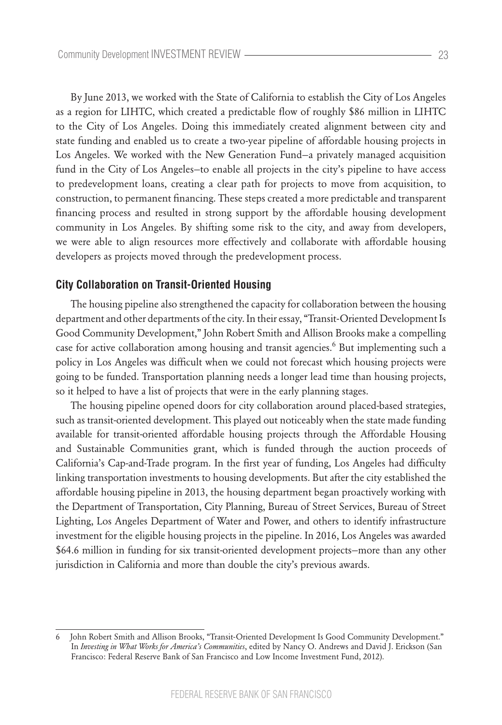By June 2013, we worked with the State of California to establish the City of Los Angeles as a region for LIHTC, which created a predictable flow of roughly \$86 million in LIHTC to the City of Los Angeles. Doing this immediately created alignment between city and state funding and enabled us to create a two-year pipeline of affordable housing projects in Los Angeles. We worked with the New Generation Fund—a privately managed acquisition fund in the City of Los Angeles—to enable all projects in the city's pipeline to have access to predevelopment loans, creating a clear path for projects to move from acquisition, to construction, to permanent financing. These steps created a more predictable and transparent financing process and resulted in strong support by the affordable housing development community in Los Angeles. By shifting some risk to the city, and away from developers, we were able to align resources more effectively and collaborate with affordable housing developers as projects moved through the predevelopment process.

#### **City Collaboration on Transit-Oriented Housing**

The housing pipeline also strengthened the capacity for collaboration between the housing department and other departments of the city. In their essay, "Transit-Oriented Development Is Good Community Development," John Robert Smith and Allison Brooks make a compelling case for active collaboration among housing and transit agencies.<sup>6</sup> But implementing such a policy in Los Angeles was difficult when we could not forecast which housing projects were going to be funded. Transportation planning needs a longer lead time than housing projects, so it helped to have a list of projects that were in the early planning stages.

The housing pipeline opened doors for city collaboration around placed-based strategies, such as transit-oriented development. This played out noticeably when the state made funding available for transit-oriented affordable housing projects through the Affordable Housing and Sustainable Communities grant, which is funded through the auction proceeds of California's Cap-and-Trade program. In the first year of funding, Los Angeles had difficulty linking transportation investments to housing developments. But after the city established the affordable housing pipeline in 2013, the housing department began proactively working with the Department of Transportation, City Planning, Bureau of Street Services, Bureau of Street Lighting, Los Angeles Department of Water and Power, and others to identify infrastructure investment for the eligible housing projects in the pipeline. In 2016, Los Angeles was awarded \$64.6 million in funding for six transit-oriented development projects—more than any other jurisdiction in California and more than double the city's previous awards.

<sup>6</sup> John Robert Smith and Allison Brooks, "Transit-Oriented Development Is Good Community Development." In *Investing in What Works for America's Communities*, edited by Nancy O. Andrews and David J. Erickson (San Francisco: Federal Reserve Bank of San Francisco and Low Income Investment Fund, 2012).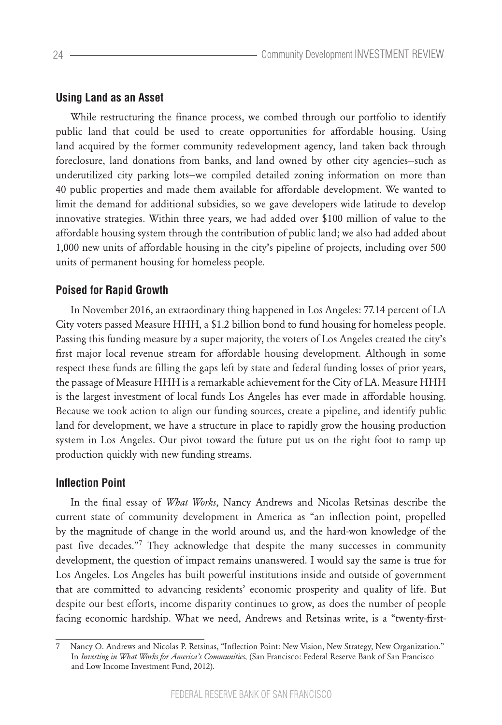#### **Using Land as an Asset**

While restructuring the finance process, we combed through our portfolio to identify public land that could be used to create opportunities for affordable housing. Using land acquired by the former community redevelopment agency, land taken back through foreclosure, land donations from banks, and land owned by other city agencies—such as underutilized city parking lots—we compiled detailed zoning information on more than 40 public properties and made them available for affordable development. We wanted to limit the demand for additional subsidies, so we gave developers wide latitude to develop innovative strategies. Within three years, we had added over \$100 million of value to the affordable housing system through the contribution of public land; we also had added about 1,000 new units of affordable housing in the city's pipeline of projects, including over 500 units of permanent housing for homeless people.

#### **Poised for Rapid Growth**

In November 2016, an extraordinary thing happened in Los Angeles: 77.14 percent of LA City voters passed Measure HHH, a \$1.2 billion bond to fund housing for homeless people. Passing this funding measure by a super majority, the voters of Los Angeles created the city's first major local revenue stream for affordable housing development. Although in some respect these funds are filling the gaps left by state and federal funding losses of prior years, the passage of Measure HHH is a remarkable achievement for the City of LA. Measure HHH is the largest investment of local funds Los Angeles has ever made in affordable housing. Because we took action to align our funding sources, create a pipeline, and identify public land for development, we have a structure in place to rapidly grow the housing production system in Los Angeles. Our pivot toward the future put us on the right foot to ramp up production quickly with new funding streams.

#### **Inflection Point**

In the final essay of *What Works*, Nancy Andrews and Nicolas Retsinas describe the current state of community development in America as "an inflection point, propelled by the magnitude of change in the world around us, and the hard-won knowledge of the past five decades."<sup>7</sup> They acknowledge that despite the many successes in community development, the question of impact remains unanswered. I would say the same is true for Los Angeles. Los Angeles has built powerful institutions inside and outside of government that are committed to advancing residents' economic prosperity and quality of life. But despite our best efforts, income disparity continues to grow, as does the number of people facing economic hardship. What we need, Andrews and Retsinas write, is a "twenty-first-

<sup>7</sup> Nancy O. Andrews and Nicolas P. Retsinas, "Inflection Point: New Vision, New Strategy, New Organization." In *Investing in What Works for America's Communities,* (San Francisco: Federal Reserve Bank of San Francisco and Low Income Investment Fund, 2012).